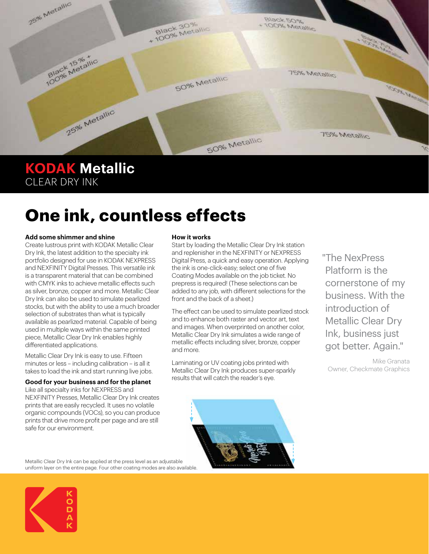

### **KODAK Metallic** CLEAR DRY INK

# **One ink, countless effects**

#### **Add some shimmer and shine**

Create lustrous print with KODAK Metallic Clear Dry Ink, the latest addition to the specialty ink portfolio designed for use in KODAK NEXPRESS and NEXFINITY Digital Presses. This versatile ink is a transparent material that can be combined with CMYK inks to achieve metallic effects such as silver, bronze, copper and more. Metallic Clear Dry Ink can also be used to simulate pearlized stocks, but with the ability to use a much broader selection of substrates than what is typically available as pearlized material. Capable of being used in multiple ways within the same printed piece, Metallic Clear Dry Ink enables highly differentiated applications.

Metallic Clear Dry Ink is easy to use. Fifteen minutes or less – including calibration – is all it takes to load the ink and start running live jobs.

#### **Good for your business and for the planet**

Like all specialty inks for NEXPRESS and NEXFINITY Presses, Metallic Clear Dry Ink creates prints that are easily recycled. It uses no volatile organic compounds (VOCs), so you can produce prints that drive more profit per page and are still safe for our environment.

#### **How it works**

Start by loading the Metallic Clear Dry Ink station and replenisher in the NEXFINITY or NEXPRESS Digital Press, a quick and easy operation. Applying the ink is one-click-easy; select one of five Coating Modes available on the job ticket. No prepress is required! (These selections can be added to any job, with different selections for the front and the back of a sheet.)

The effect can be used to simulate pearlized stock and to enhance both raster and vector art, text and images. When overprinted on another color, Metallic Clear Dry Ink simulates a wide range of metallic effects including silver, bronze, copper and more.

Laminating or UV coating jobs printed with Metallic Clear Dry Ink produces super-sparkly results that will catch the reader's eye.

"The NexPress Platform is the cornerstone of my business. With the introduction of Metallic Clear Dry Ink, business just got better. Again."

Mike Granata Owner, Checkmate Graphics



Metallic Clear Dry Ink can be applied at the press level as an adjustable uniform layer on the entire page. Four other coating modes are also available.